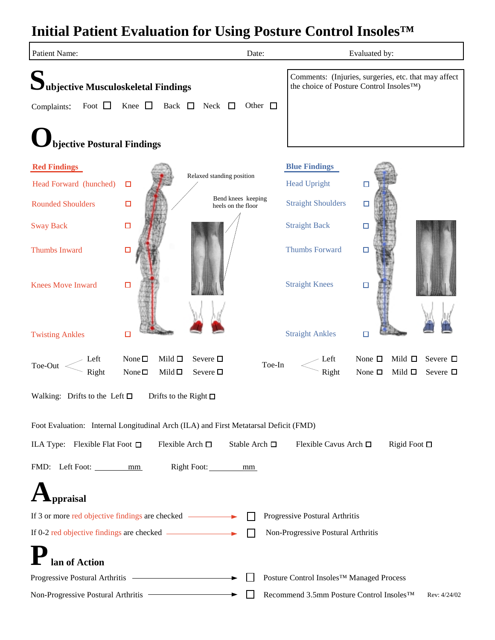## **Initial Patient Evaluation for Using Posture Control Insoles™**

| Patient Name:                                                    |                                                                                                        | Date:                                                                                                         |                                          | Evaluated by:                                                                              |  |  |  |  |  |  |
|------------------------------------------------------------------|--------------------------------------------------------------------------------------------------------|---------------------------------------------------------------------------------------------------------------|------------------------------------------|--------------------------------------------------------------------------------------------|--|--|--|--|--|--|
| $\sum \nolimits_{\text{ubjective Musculoskeletal Findings}}$     |                                                                                                        | Comments: (Injuries, surgeries, etc. that may affect<br>the choice of Posture Control Insoles <sup>TM</sup> ) |                                          |                                                                                            |  |  |  |  |  |  |
| Foot $\Box$<br>Complaints:                                       | Knee $\Box$<br>Back $\Box$<br>Neck $\Box$                                                              | Other $\square$                                                                                               |                                          |                                                                                            |  |  |  |  |  |  |
| bjective Postural Findings                                       |                                                                                                        |                                                                                                               |                                          |                                                                                            |  |  |  |  |  |  |
| <b>Red Findings</b>                                              |                                                                                                        |                                                                                                               | <b>Blue Findings</b>                     |                                                                                            |  |  |  |  |  |  |
| Head Forward (hunched)                                           | Relaxed standing position<br>$\Box$                                                                    |                                                                                                               | <b>Head Upright</b>                      | 口                                                                                          |  |  |  |  |  |  |
| <b>Rounded Shoulders</b>                                         | $\Box$<br>heels on the floor                                                                           | Bend knees keeping                                                                                            | <b>Straight Shoulders</b>                | □                                                                                          |  |  |  |  |  |  |
| <b>Sway Back</b>                                                 | $\Box$                                                                                                 |                                                                                                               | <b>Straight Back</b>                     | $\Box$                                                                                     |  |  |  |  |  |  |
| <b>Thumbs Inward</b>                                             | 口                                                                                                      |                                                                                                               | <b>Thumbs Forward</b>                    | 口                                                                                          |  |  |  |  |  |  |
| <b>Knees Move Inward</b>                                         | $\Box$                                                                                                 |                                                                                                               | <b>Straight Knees</b>                    | $\Box$                                                                                     |  |  |  |  |  |  |
| <b>Twisting Ankles</b>                                           | О                                                                                                      |                                                                                                               | <b>Straight Ankles</b>                   | 囗                                                                                          |  |  |  |  |  |  |
| Left<br>Toe-Out<br>Right                                         | Mild $\square$<br>Severe $\Box$<br>None $\square$<br>None $\square$<br>Mild $\square$<br>Severe $\Box$ | Toe-In                                                                                                        | Left<br>Right                            | None $\Box$<br>Mild $\Box$<br>Severe $\Box$<br>Mild $\Box$<br>None $\Box$<br>Severe $\Box$ |  |  |  |  |  |  |
| Walking: Drifts to the Left $\Box$<br>Drifts to the Right $\Box$ |                                                                                                        |                                                                                                               |                                          |                                                                                            |  |  |  |  |  |  |
|                                                                  | Foot Evaluation: Internal Longitudinal Arch (ILA) and First Metatarsal Deficit (FMD)                   |                                                                                                               |                                          |                                                                                            |  |  |  |  |  |  |
| ILA Type: Flexible Flat Foot $\Box$                              | Flexible Arch $\Box$                                                                                   | Stable Arch $\Box$                                                                                            | Flexible Cavus Arch □                    | Rigid Foot $\Box$                                                                          |  |  |  |  |  |  |
| FMD: Left Foot: <u>mm</u>                                        |                                                                                                        |                                                                                                               |                                          |                                                                                            |  |  |  |  |  |  |
| ppraisal                                                         |                                                                                                        |                                                                                                               |                                          |                                                                                            |  |  |  |  |  |  |
|                                                                  | If 3 or more red objective findings are checked ————                                                   |                                                                                                               | Progressive Postural Arthritis           |                                                                                            |  |  |  |  |  |  |
|                                                                  |                                                                                                        | Non-Progressive Postural Arthritis                                                                            |                                          |                                                                                            |  |  |  |  |  |  |
| lan of Action                                                    |                                                                                                        |                                                                                                               |                                          |                                                                                            |  |  |  |  |  |  |
|                                                                  | Progressive Postural Arthritis<br>▸                                                                    |                                                                                                               | Posture Control Insoles™ Managed Process |                                                                                            |  |  |  |  |  |  |
| Non-Progressive Postural Arthritis —                             | ▸                                                                                                      |                                                                                                               | Recommend 3.5mm Posture Control Insoles™ | Rev: 4/24/02                                                                               |  |  |  |  |  |  |